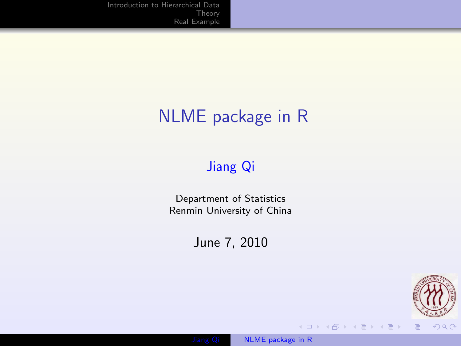### NLME package in R

### [Jiang Qi](file:jiangqi8908@gmail.com)

Department of Statistics Renmin University of China

June 7, 2010

<span id="page-0-0"></span>



**K ロト K 御 ト K 君 ト K 君 ト**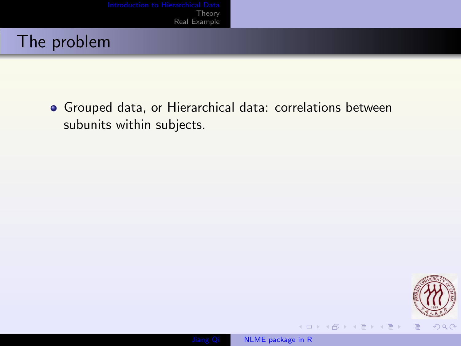Grouped data, or Hierarchical data: correlations between subunits within subjects.

<span id="page-1-0"></span>

**K ロ ⊁ K 倒 ≯ K ミ ⊁ K ミ ≯**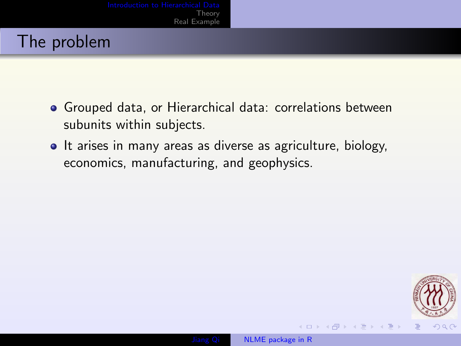- Grouped data, or Hierarchical data: correlations between subunits within subjects.
- It arises in many areas as diverse as agriculture, biology, economics, manufacturing, and geophysics.





4 口 下

 $\mathcal{A} \oplus \mathcal{B}$   $\mathcal{B} \rightarrow \mathcal{A} \oplus \mathcal{B}$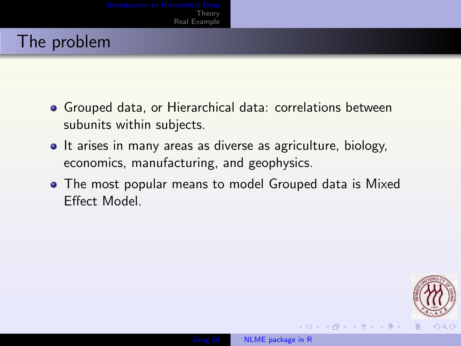- Grouped data, or Hierarchical data: correlations between subunits within subjects.
- It arises in many areas as diverse as agriculture, biology, economics, manufacturing, and geophysics.
- The most popular means to model Grouped data is Mixed Effect Model.

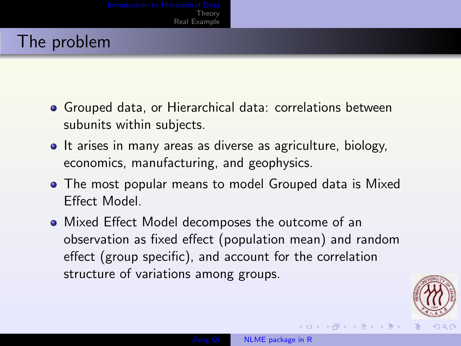- Grouped data, or Hierarchical data: correlations between subunits within subjects.
- It arises in many areas as diverse as agriculture, biology, economics, manufacturing, and geophysics.
- The most popular means to model Grouped data is Mixed Effect Model.
- Mixed Effect Model decomposes the outcome of an observation as fixed effect (population mean) and random effect (group specific), and account for the correlation structure of variations among groups.



イロメ イ押メ イヨメ イヨ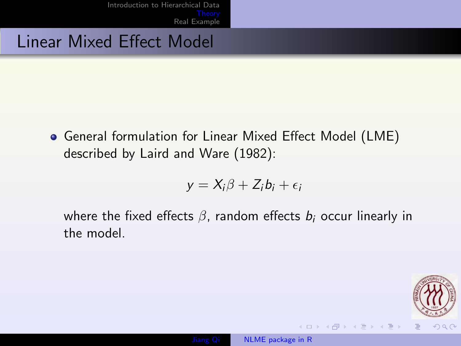[Introduction to Hierarchical Data](#page-1-0) <mark>Theor</mark>y<br>[Real Example](#page-8-0)

### Linear Mixed Effect Model

General formulation for Linear Mixed Effect Model (LME) described by Laird and Ware (1982):

$$
y = X_i \beta + Z_i b_i + \epsilon_i
$$

where the fixed effects  $\beta$ , random effects  $b_i$  occur linearly in the model.

<span id="page-5-0"></span>

**≮ロト (母) (ヨ) (ヨ**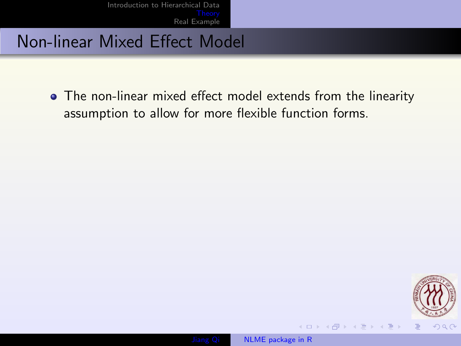[Introduction to Hierarchical Data](#page-1-0) <mark>Theor</mark>y<br>[Real Example](#page-8-0)

### Non-linear Mixed Effect Model

• The non-linear mixed effect model extends from the linearity assumption to allow for more flexible function forms.



**≮ロト (母) (ヨ) (ヨ**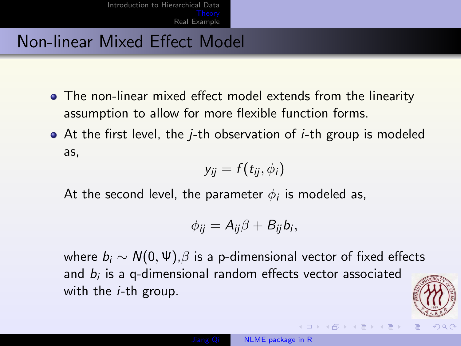### Non-linear Mixed Effect Model

- The non-linear mixed effect model extends from the linearity assumption to allow for more flexible function forms.
- At the first level, the j-th observation of i-th group is modeled as,

$$
y_{ij}=f(t_{ij},\phi_i)
$$

At the second level, the parameter  $\phi_i$  is modeled as,

$$
\phi_{ij}=A_{ij}\beta+B_{ij}b_i,
$$

where  $b_i$  ∼  $N(0, \Psi)$ , $\beta$  is a p-dimensional vector of fixed effects and  $b_i$  is a q-dimensional random effects vector associated with the *i*-th group.



→ 何 ▶ → ヨ ▶ → ヨ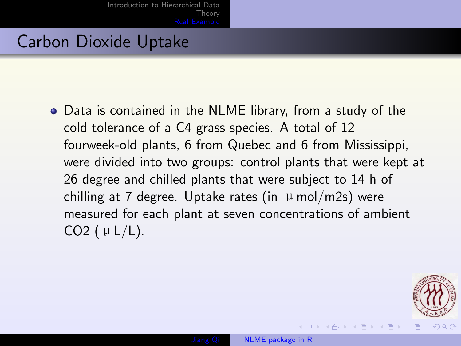### Carbon Dioxide Uptake

Data is contained in the NLME library, from a study of the cold tolerance of a C4 grass species. A total of 12 fourweek-old plants, 6 from Quebec and 6 from Mississippi, were divided into two groups: control plants that were kept at 26 degree and chilled plants that were subject to 14 h of chilling at 7 degree. Uptake rates (in  $\mu$  mol/m2s) were measured for each plant at seven concentrations of ambient CO2 ( $\mu$  L/L).

<span id="page-8-0"></span>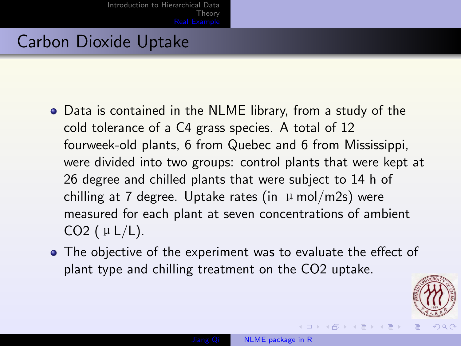### Carbon Dioxide Uptake

- Data is contained in the NLME library, from a study of the cold tolerance of a C4 grass species. A total of 12 fourweek-old plants, 6 from Quebec and 6 from Mississippi, were divided into two groups: control plants that were kept at 26 degree and chilled plants that were subject to 14 h of chilling at 7 degree. Uptake rates (in  $\mu$  mol/m2s) were measured for each plant at seven concentrations of ambient CO2 ( $\mu$  L/L).
- The objective of the experiment was to evaluate the effect of plant type and chilling treatment on the CO2 uptake.



**≮ロト (母) (ヨ) (ヨ**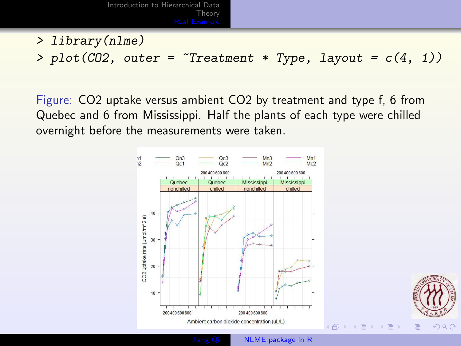- > library(nlme)
- > plot(CO2, outer =  $\text{``Treatment * Type, layout = } c(4, 1)$ )

Figure: CO2 uptake versus ambient CO2 by treatment and type f, 6 from Quebec and 6 from Mississippi. Half the plants of each type were chilled overnight before the measurements were taken.

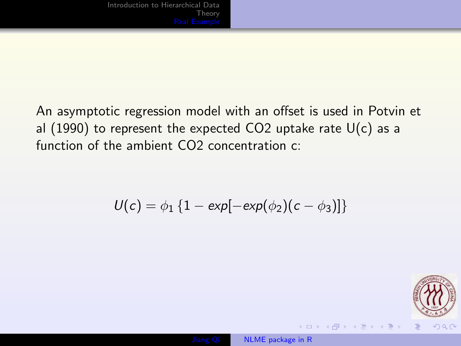An asymptotic regression model with an offset is used in Potvin et al (1990) to represent the expected CO2 uptake rate  $U(c)$  as a function of the ambient CO<sub>2</sub> concentration c:

$$
U(c) = \phi_1 \left\{ 1 - \exp[-\exp(\phi_2)(c - \phi_3)] \right\}
$$



(ロ) (伊) (巨) (重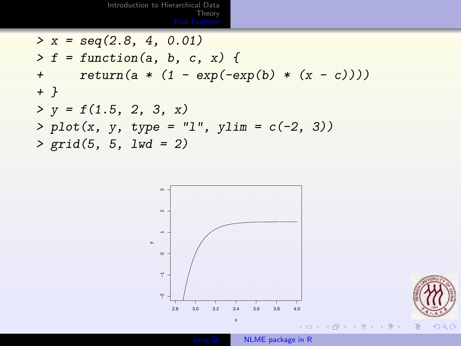[Introduction to Hierarchical Data](#page-1-0) [Theory](#page-5-0)<br>Real <mark>Example</mark>

 $> x = \text{seq}(2.8, 4, 0.01)$  $> f = function(a, b, c, x)$  { +  $return(a * (1 - exp(-exp(b) * (x - c))))$ + }  $> y = f(1.5, 2, 3, x)$  $> plot(x, y, type = "l", ylim = c(-2, 3))$  $> grid(5, 5, 1wd = 2)$ 



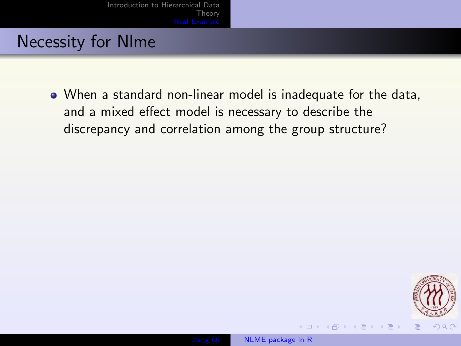### Necessity for Nlme

When a standard non-linear model is inadequate for the data, and a mixed effect model is necessary to describe the discrepancy and correlation among the group structure?



モレント イランド イコンド

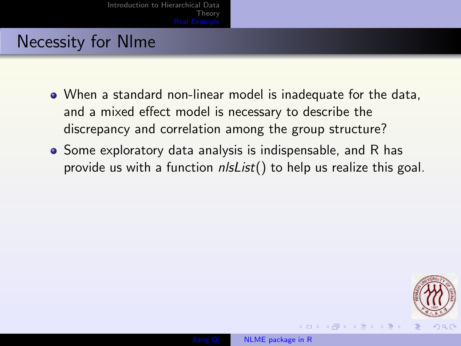### Necessity for Nlme

- When a standard non-linear model is inadequate for the data, and a mixed effect model is necessary to describe the discrepancy and correlation among the group structure?
- Some exploratory data analysis is indispensable, and R has provide us with a function  $n/sList()$  to help us realize this goal.



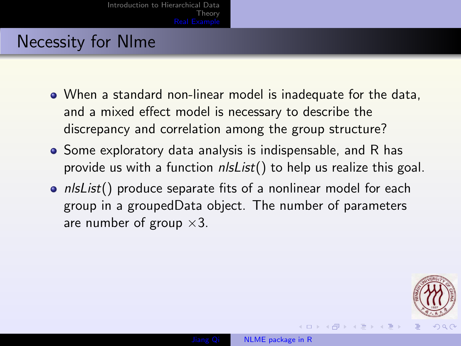### Necessity for Nlme

- When a standard non-linear model is inadequate for the data, and a mixed effect model is necessary to describe the discrepancy and correlation among the group structure?
- Some exploratory data analysis is indispensable, and R has provide us with a function  $n/sList()$  to help us realize this goal.
- $n/sList()$  produce separate fits of a nonlinear model for each group in a groupedData object. The number of parameters are number of group  $\times 3$ .

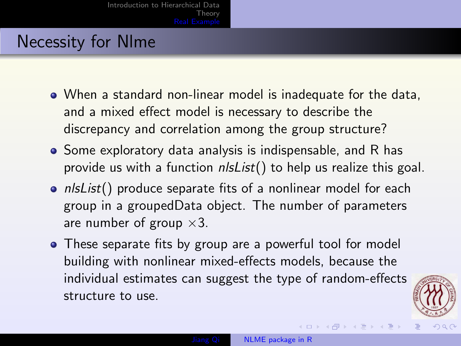### Necessity for Nlme

- When a standard non-linear model is inadequate for the data, and a mixed effect model is necessary to describe the discrepancy and correlation among the group structure?
- Some exploratory data analysis is indispensable, and R has provide us with a function  $n/sList()$  to help us realize this goal.
- $n/sList()$  produce separate fits of a nonlinear model for each group in a groupedData object. The number of parameters are number of group  $\times 3$ .
- These separate fits by group are a powerful tool for model building with nonlinear mixed-effects models, because the individual estimates can suggest the type of random-effects structure to use.



∢ ロ ▶ (何 ▶ (日 ▶ (日

 $\Omega$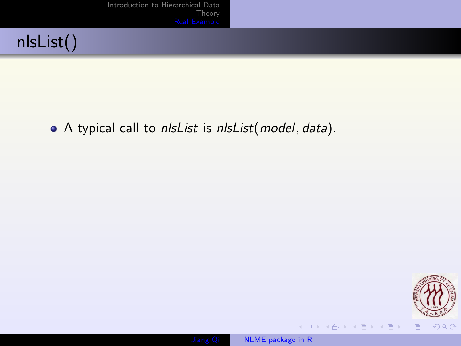[Introduction to Hierarchical Data](#page-1-0) [Theory](#page-5-0)<br>Real <mark>Example</mark>



• A typical call to nlsList is nlsList(model, data).



イロメ イ御メ イヨメ イヨメ

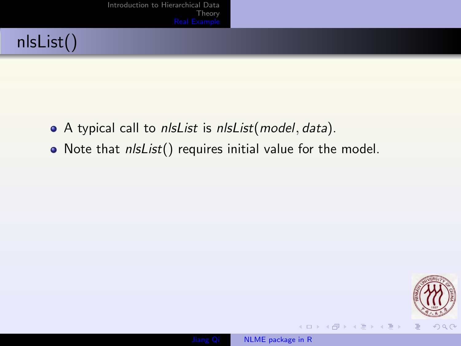## nlsList()

- A typical call to *nlsList* is *nlsList*(*model*, *data*).
- Note that *nlsList*() requires initial value for the model.



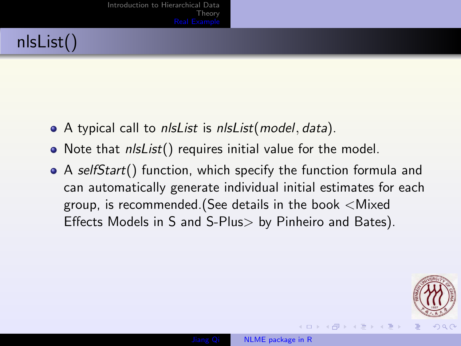## nlsList()

- A typical call to nlsList is nlsList(model, data).
- Note that *nlsList*() requires initial value for the model.
- A selfStart() function, which specify the function formula and can automatically generate individual initial estimates for each group, is recommended.(See details in the book <Mixed Effects Models in S and S-Plus> by Pinheiro and Bates).

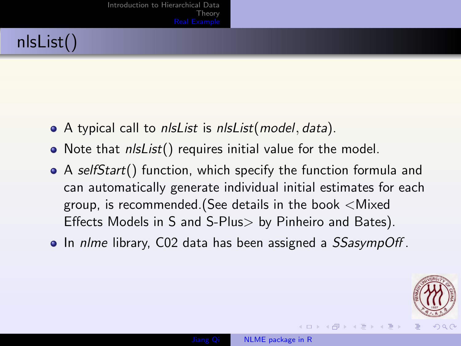## nlsList()

- A typical call to *nlsList* is *nlsList*(*model, data*).
- Note that *nlsList*() requires initial value for the model.
- A selfStart() function, which specify the function formula and can automatically generate individual initial estimates for each group, is recommended.(See details in the book <Mixed Effects Models in S and S-Plus> by Pinheiro and Bates).
- In nlme library, C02 data has been assigned a *SSasympOff*.

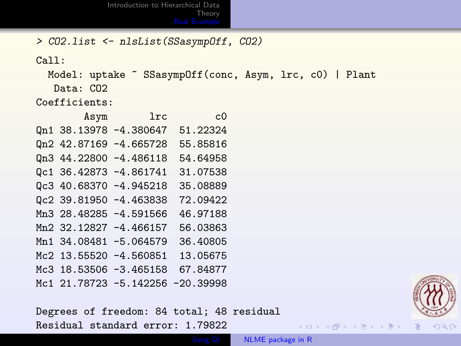[Introduction to Hierarchical Data](#page-1-0) [Theory](#page-5-0)<br>Real <mark>Example</mark>

> CO2.list <- nlsList(SSasympOff, CO2)

Call:

Model: uptake ~ SSasympOff(conc, Asym, lrc, c0) | Plant Data: CO2

Coefficients:

|  | $_{\rm lrc}$<br>Asym             | c <sub>0</sub> |
|--|----------------------------------|----------------|
|  | Qn1 38.13978 -4.380647           | 51.22324       |
|  | Qn2 42.87169 -4.665728           | 55.85816       |
|  | Qn3 44.22800 -4.486118           | 54.64958       |
|  | Qc1 36.42873 -4.861741           | 31.07538       |
|  | Qc3 40.68370 -4.945218           | 35.08889       |
|  | Qc2 39.81950 -4.463838           | 72.09422       |
|  | Mn3 28.48285 -4.591566           | 46.97188       |
|  | Mn2 32.12827 -4.466157           | 56.03863       |
|  | Mn1 34.08481 -5.064579           | 36.40805       |
|  | Mc2 13.55520 -4.560851           | 13.05675       |
|  | Mc3 18.53506 -3.465158           | 67.84877       |
|  | Mc1 21.78723 -5.142256 -20.39998 |                |

Degrees of freedom: 84 total; 48 residual Residual standard error: 1.79822



 $\mathcal{A} \subseteq \mathcal{D} \rightarrow \mathcal{A} \oplus \mathcal{D} \rightarrow \mathcal{A} \oplus \mathcal{B} \rightarrow \mathcal{A} \oplus \mathcal{B}$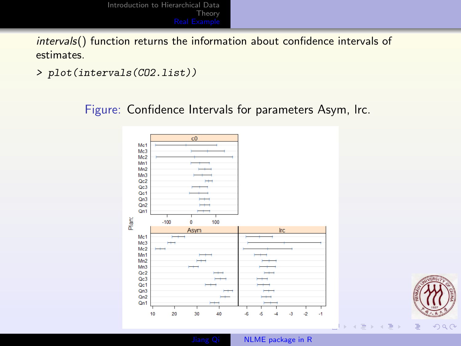intervals() function returns the information about confidence intervals of estimates.

> plot(intervals(CO2.list))

Figure: Confidence Intervals for parameters Asym, lrc.

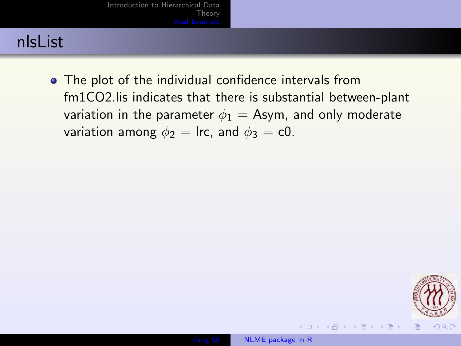### nlsList

• The plot of the individual confidence intervals from fm1CO2.lis indicates that there is substantial between-plant variation in the parameter  $\phi_1 =$  Asym, and only moderate variation among  $\phi_2 = \text{Irc}$ , and  $\phi_3 = \text{c0}$ .



**<何 > < 三 > <**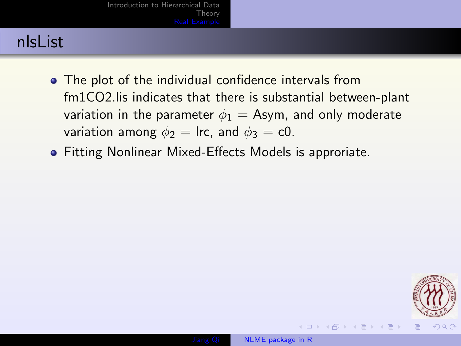### nlsList

- The plot of the individual confidence intervals from fm1CO2.lis indicates that there is substantial between-plant variation in the parameter  $\phi_1 =$  Asym, and only moderate variation among  $\phi_2$  = lrc, and  $\phi_3$  = c0.
- Fitting Nonlinear Mixed-Effects Models is approriate.



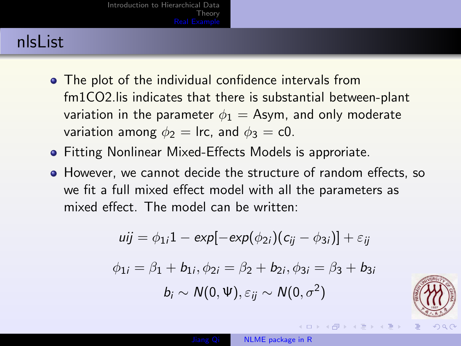### nlsList

- The plot of the individual confidence intervals from fm1CO2.lis indicates that there is substantial between-plant variation in the parameter  $\phi_1 =$  Asym, and only moderate variation among  $\phi_2$  = lrc, and  $\phi_3$  = c0.
- **•** Fitting Nonlinear Mixed-Effects Models is approriate.
- However, we cannot decide the structure of random effects, so we fit a full mixed effect model with all the parameters as mixed effect. The model can be written:

$$
uij = \phi_{1i}1 - \exp[-\exp(\phi_{2i})(c_{ij} - \phi_{3i})] + \varepsilon_{ij}
$$
  

$$
\phi_{1i} = \beta_1 + b_{1i}, \phi_{2i} = \beta_2 + b_{2i}, \phi_{3i} = \beta_3 + b_{3i}
$$
  

$$
b_i \sim N(0, \Psi), \varepsilon_{ij} \sim N(0, \sigma^2)
$$



→ 何 ▶ → 三 ▶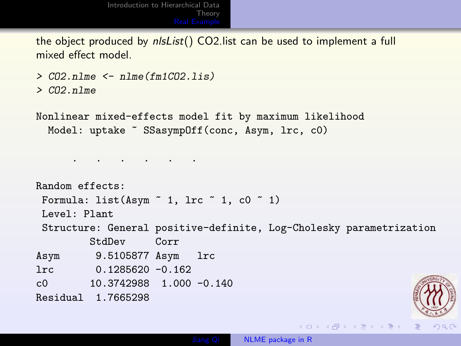the object produced by nlsList() CO2.list can be used to implement a full mixed effect model.

```
> CO2.nlme \leq nlme(fm1CO2.lis)
```

```
> CO<sub>2</sub>.nlme
```
Nonlinear mixed-effects model fit by maximum likelihood Model: uptake ~ SSasympOff(conc, Asym, lrc, cO)

. . . . . .

```
Random effects:
Formula: list(Asym \degree 1, lrc \degree 1, c0 \degree 1)
Level: Plant
Structure: General positive-definite, Log-Cholesky parametrization
        StdDev Corr
Asym 9.5105877 Asym lrc
lrc 0.1285620 -0.162
c0 10.3742988 1.000 -0.140
Residual 1.7665298
```
イロト イ押 トイヨ トイヨト

 $QQQ$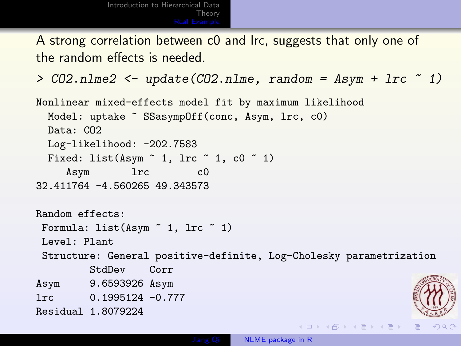A strong correlation between c0 and lrc, suggests that only one of the random effects is needed.

```
> CO2.nlme2 \leq update(CO2.nlme, random = Asym + lrc \leq 1)
```

```
Nonlinear mixed-effects model fit by maximum likelihood
 Model: uptake ~ SSasympOff(conc, Asym, lrc, cO)
 Data: CO2
 Log-likelihood: -202.7583
 Fixed: list(Asym \degree 1, lrc \degree 1, c0 \degree 1)
    Asym lrc c0
32.411764 -4.560265 49.343573
Random effects:
Formula: list(Asym ~ 1, lrc ~ 1)
Level: Plant
Structure: General positive-definite, Log-Cholesky parametrization
        StdDev Corr
Asym 9.6593926 Asym
lrc 0.1995124 -0.777
Residual 1.8079224
                                           イロト イ押 トイヨ トイヨト
                                                                  QQQ
```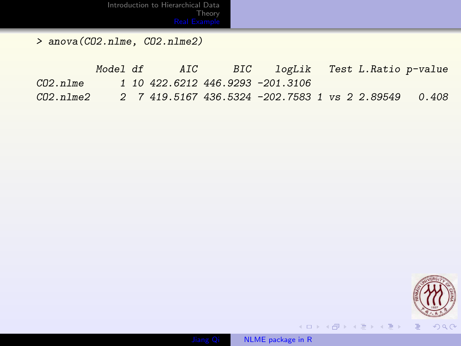[Theory](#page-5-0)<br>Real <mark>Example</mark>

> anova(CO2.nlme, CO2.nlme2)

|          | Model df |  | AIC BIC logLik Test L.Ratio p-value                              |  |  |
|----------|----------|--|------------------------------------------------------------------|--|--|
| CO2.n1me |          |  | 1 10 422.6212 446.9293 -201.3106                                 |  |  |
|          |          |  | $C02.n1me2$ 2 7 419.5167 436.5324 -202.7583 1 vs 2 2.89549 0.408 |  |  |



 $\langle \begin{array}{c} 1 & 0 \\ 0 & 1 \end{array} \rangle \rightarrow \langle \begin{array}{c} 0 & 0 \\ 0 & 1 \end{array} \rangle \rightarrow \langle \begin{array}{c} 0 & 0 \\ 0 & 1 \end{array} \rangle \rightarrow \langle \begin{array}{c} 0 & 0 \\ 0 & 1 \end{array} \rangle$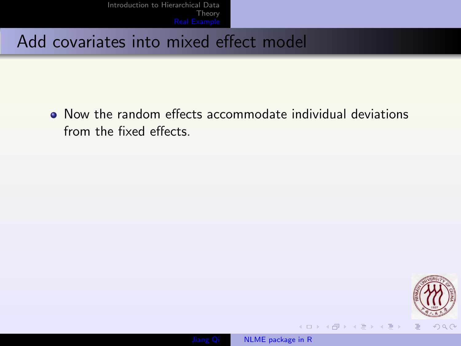Now the random effects accommodate individual deviations from the fixed effects.



イロメ イ御メ イヨメ イヨメ

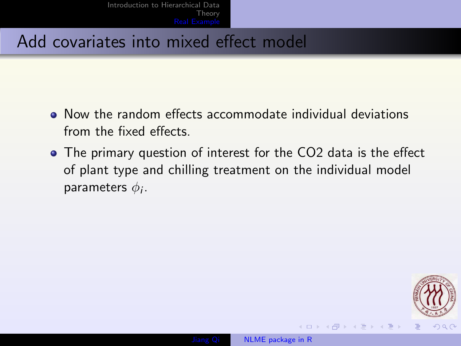- Now the random effects accommodate individual deviations from the fixed effects.
- The primary question of interest for the CO2 data is the effect of plant type and chilling treatment on the individual model parameters  $\phi_i$ .



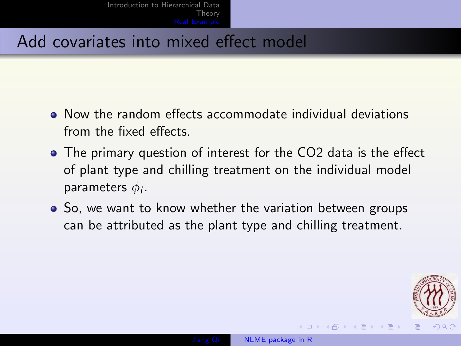- Now the random effects accommodate individual deviations from the fixed effects.
- The primary question of interest for the CO2 data is the effect of plant type and chilling treatment on the individual model parameters  $\phi_i$ .
- So, we want to know whether the variation between groups can be attributed as the plant type and chilling treatment.

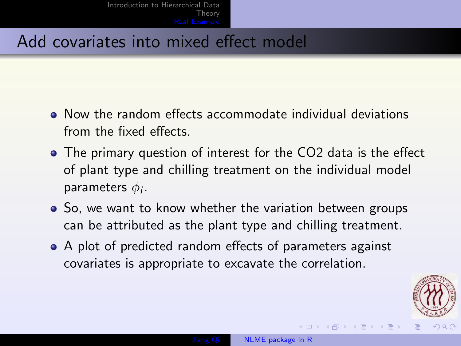- Now the random effects accommodate individual deviations from the fixed effects.
- The primary question of interest for the CO2 data is the effect of plant type and chilling treatment on the individual model parameters  $\phi_i$ .
- So, we want to know whether the variation between groups can be attributed as the plant type and chilling treatment.
- A plot of predicted random effects of parameters against covariates is appropriate to excavate the correlation.

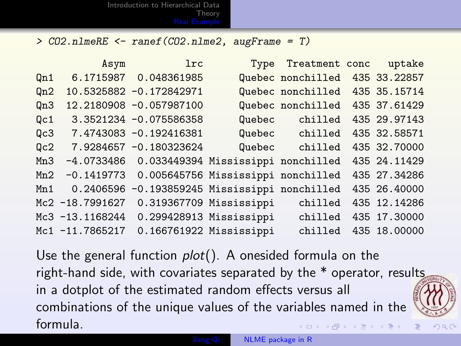> CO2.nlmeRE <- ranef(CO2.nlme2, augFrame = T)

|                 | Asym            | <b>lrc</b>                                      | Type                               | Treatment conc    | uptake       |
|-----------------|-----------------|-------------------------------------------------|------------------------------------|-------------------|--------------|
| Qn1             | 6.1715987       | 0.048361985                                     |                                    | Quebec nonchilled | 435 33.22857 |
| Qn2             |                 | 10.5325882 -0.172842971                         |                                    | Quebec nonchilled | 435 35.15714 |
| On3             |                 | 12.2180908 -0.057987100                         |                                    | Quebec nonchilled | 435 37.61429 |
| Qc1             |                 | 3.3521234 -0.075586358                          | Quebec                             | chilled           | 435 29.97143 |
| Qc3             |                 | 7.4743083 -0.192416381                          | Quebec                             | chilled           | 435 32.58571 |
| Q <sub>c2</sub> |                 | 7.9284657 -0.180323624                          | Quebec                             | chilled           | 435 32.70000 |
| Mn3             |                 | $-4.0733486$ 0.033449394 Mississippi nonchilled |                                    |                   | 435 24.11429 |
| Mn2             | $-0.1419773$    |                                                 | 0.005645756 Mississippi nonchilled |                   | 435 27.34286 |
| Mn1             | 0.2406596       | -0.193859245 Mississippi nonchilled             |                                    |                   | 435 26.40000 |
|                 | Mc2 -18.7991627 |                                                 | 0.319367709 Mississippi            | chilled           | 435 12.14286 |
|                 | Mc3 -13.1168244 |                                                 | 0.299428913 Mississippi            | chilled           | 435 17.30000 |
|                 | Mc1 -11.7865217 | 0.166761922 Mississippi                         |                                    | chilled           | 435 18.00000 |

Use the general function  $plot()$ . A onesided formula on the right-hand side, with covariates separated by the \* operator, results in a dotplot of the estimated random effects versus all combinations of the unique values of the variables named in the formula. ス 何 ト ス ヨ ト ス ヨ ト

<span id="page-33-0"></span> $\Omega$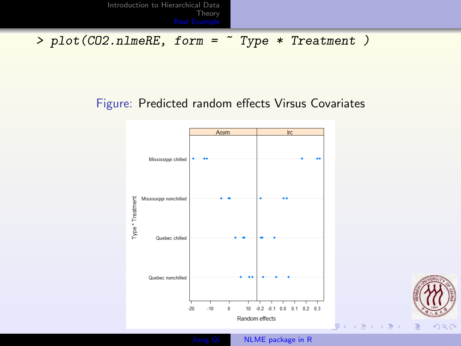> plot(CO2.nlmeRE, form = ~ Type \* Treatment )

#### Figure: Predicted random effects Virsus Covariates

<span id="page-34-0"></span>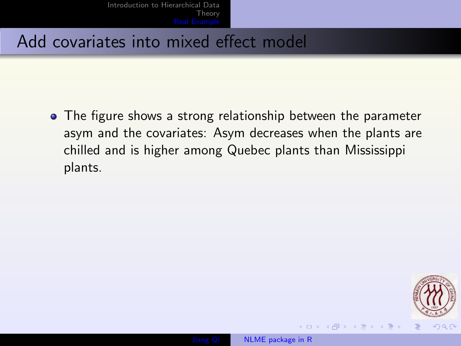The figure shows a strong relationship between the parameter asym and the covariates: Asym decreases when the plants are chilled and is higher among Quebec plants than Mississippi plants.

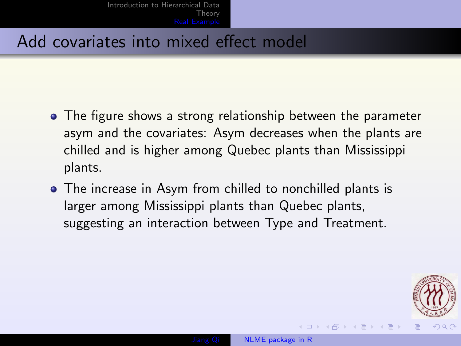- The figure shows a strong relationship between the parameter asym and the covariates: Asym decreases when the plants are chilled and is higher among Quebec plants than Mississippi plants.
- The increase in Asym from chilled to nonchilled plants is larger among Mississippi plants than Quebec plants, suggesting an interaction between Type and Treatment.

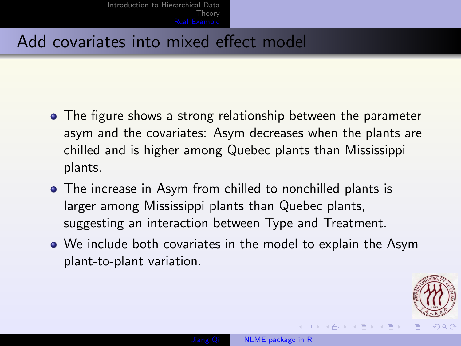- The figure shows a strong relationship between the parameter asym and the covariates: Asym decreases when the plants are chilled and is higher among Quebec plants than Mississippi plants.
- The increase in Asym from chilled to nonchilled plants is larger among Mississippi plants than Quebec plants, suggesting an interaction between Type and Treatment.
- We include both covariates in the model to explain the Asym plant-to-plant variation.

<span id="page-37-0"></span>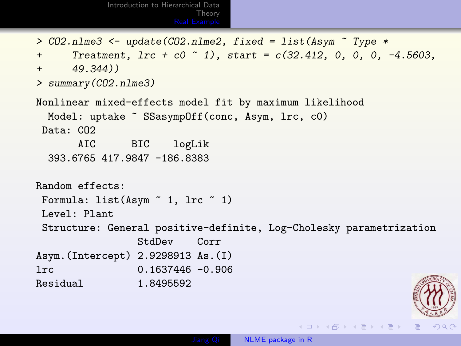```
Introduction to Hierarchical Data
                         Theory
                  Real Exam
```

```
> CO2.nlme3 <- update(CO2.nlme2, fixed = list(Asym \sim Type *+ Treatment, \text{lr } t \text{ c0 } ^{-1}, start = c(32.412, 0, 0, 0, -4.5603,
+ 49.344)) +> summary(CO2.nlme3)
Nonlinear mixed-effects model fit by maximum likelihood
 Model: uptake ~ SSasympOff(conc, Asym, lrc, cO)
Data: CO2
     AIC BIC logLik
 393.6765 417.9847 -186.8383
Random effects:
Formula: list (Asym \tilde{ } 1, lrc \tilde{ } 1)
Level: Plant
Structure: General positive-definite, Log-Cholesky parametrization
              StdDev Corr
Asym.(Intercept) 2.9298913 As.(I)
lrc 0.1637446 -0.906
Residual 1.8495592
```
イロン イ母ン イヨン イヨン

<span id="page-38-0"></span> $QQQ$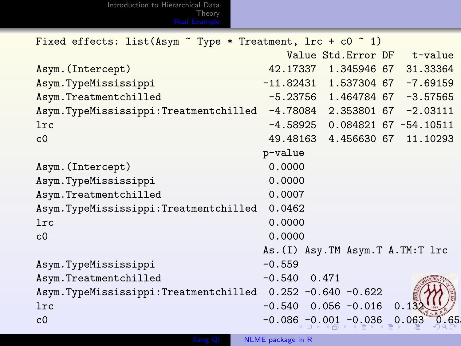[Introduction to Hierarchical Data](#page-1-0) [Theory](#page-5-0) [Real Example](#page-8-0)

| Fixed effects: list(Asym ~ Type * Treatment, lrc + c0 ~ 1) |                                           |
|------------------------------------------------------------|-------------------------------------------|
|                                                            | Value Std. Error DF t-value               |
| Asym. (Intercept)                                          | 42.17337 1.345946 67 31.33364             |
| Asym.TypeMississippi                                       | $-11.82431$ 1.537304 67 -7.69159          |
| Asym.Treatmentchilled                                      | $-5.23756$ 1.464784 67 $-3.57565$         |
| Asym.TypeMississippi:Treatmentchilled                      | $-4.78084$ 2.353801 67 $-2.03111$         |
| <b>lrc</b>                                                 | $-4.58925$ 0.084821 67 -54.10511          |
| c <sub>0</sub>                                             | 49.48163 4.456630 67<br>11.10293          |
|                                                            | p-value                                   |
| Asym. (Intercept)                                          | 0.0000                                    |
| Asym.TypeMississippi                                       | 0.0000                                    |
| Asym.Treatmentchilled                                      | 0.0007                                    |
| Asym.TypeMississippi:Treatmentchilled                      | 0.0462                                    |
| 1rc                                                        | 0.0000                                    |
| c <sub>0</sub>                                             | 0.0000                                    |
|                                                            | As. (I) Asy. TM Asym. T A. TM: T 1rc      |
| Asym.TypeMississippi                                       | $-0.559$                                  |
| Asym.Treatmentchilled                                      | $-0.540$ 0.471                            |
| Asym.TypeMississippi:Treatmentchilled 0.252 -0.640 -0.622  |                                           |
| <b>lrc</b>                                                 | $0.056 - 0.016$<br>0.13<br>$-0.540$       |
| c <sub>0</sub>                                             | $-0.086 - 0.001 - 0.036$<br>0.65<br>0.063 |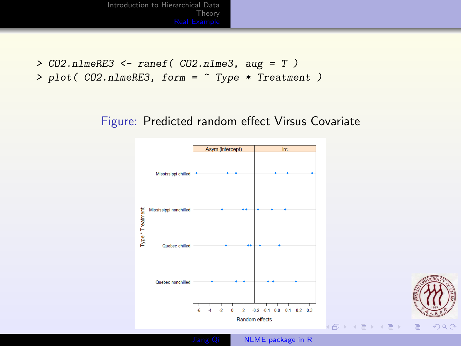> CO2.nlmeRE3 <- ranef( CO2.nlme3, aug = T ) > plot( CO2.nlmeRE3, form = ~ Type \* Treatment )

#### Figure: Predicted random effect Virsus Covariate



<span id="page-40-0"></span> $OQ$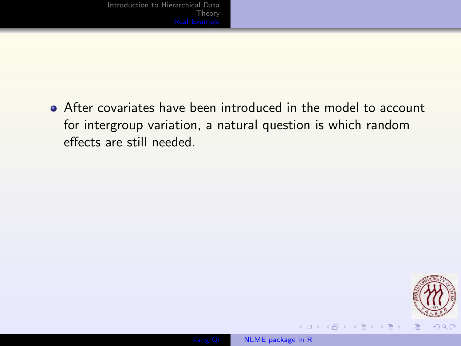After covariates have been introduced in the model to account for intergroup variation, a natural question is which random effects are still needed.



 $\leftarrow$   $\Box$ 

→ 何 ▶ → 手 ▶ →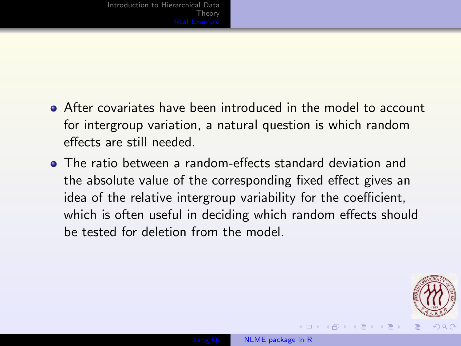- After covariates have been introduced in the model to account for intergroup variation, a natural question is which random effects are still needed.
- The ratio between a random-effects standard deviation and the absolute value of the corresponding fixed effect gives an idea of the relative intergroup variability for the coefficient, which is often useful in deciding which random effects should be tested for deletion from the model.

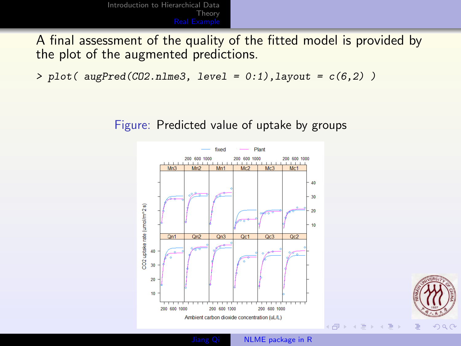A final assessment of the quality of the fitted model is provided by the plot of the augmented predictions.

> plot(  $augPred(C02.nlme3, level = 0:1)$ ,  $layout = c(6,2)$ )

#### Figure: Predicted value of uptake by groups





( 伊 )